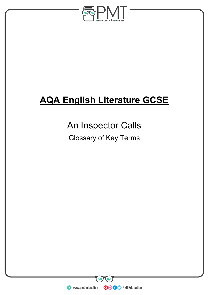

# **AQA English Literature GCSE**

# An Inspector Calls

Glossary of Key Terms

**WWW.pmt.education**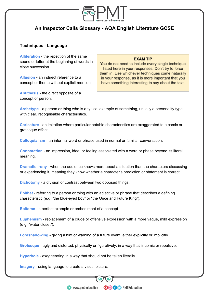

# **An Inspector Calls Glossary - AQA English Literature GCSE**

## **Techniques - Language**

**Alliteration** - the repetition of the same sound or letter at the beginning of words in close succession.

**Allusion -** an indirect reference to a concept or theme without explicit mention.

**Antithesis** - the direct opposite of a concept or person.

#### **EXAM TIP**

You do not need to include every single technique listed here in your responses. Don't try to force them in. Use whichever techniques come naturally in your response, as it is more important that you have something interesting to say about the text.

**Archetype** - a person or thing who is a typical example of something, usually a personality type, with clear, recognisable characteristics.

**Caricature** - an imitation where particular notable characteristics are exaggerated to a comic or grotesque effect.

**Colloquialism** - an informal word or phrase used in normal or familiar conversation.

**Connotation** - an impression, idea, or feeling associated with a word or phase beyond its literal meaning.

**Dramatic Irony** - when the audience knows more about a situation than the characters discussing or experiencing it, meaning they know whether a character's prediction or statement is correct.

**Dichotomy** - a division or contrast between two opposed things.

**Epithet** - referring to a person or thing with an adjective or phrase that describes a defining characteristic (e.g. "the blue-eyed boy" or "the Once and Future King").

**Epitome** - a perfect example or embodiment of a concept.

**Euphemism** - replacement of a crude or offensive expression with a more vague, mild expression (e.g. "water closet").

**Foreshadowing** - giving a hint or warning of a future event, either explicitly or implicitly.

**Grotesque** - ugly and distorted, physically or figuratively, in a way that is comic or repulsive.

**Hyperbole** - exaggerating in a way that should not be taken literally.

**Imagery** - using language to create a visual picture.

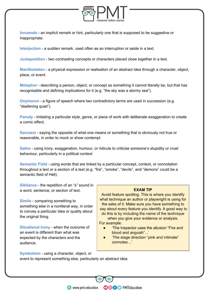

**Innuendo** - an implicit remark or hint, particularly one that is supposed to be suggestive or inappropriate.

**Interjection** - a sudden remark, used often as an interruption or aside in a text.

**Juxtaposition** - two contrasting concepts or characters placed close together in a text.

**Manifestation** - a physical expression or realisation of an abstract idea through a character, object, place, or event.

**Metaphor** - describing a person, object, or concept as something it cannot literally be, but that has recognisable and defining implications for it (e.g. "the sky was a stormy sea").

**Oxymoron** - a figure of speech where two contradictory terms are used in succession (e.g. "deafening quiet").

**Parody** - imitating a particular style, genre, or piece of work with deliberate exaggeration to create a comic effect.

**Sarcasm** - saying the opposite of what one means or something that is obviously not true or reasonable, in order to mock or show contempt

**Satire** - using irony, exaggeration, humour, or ridicule to criticise someone's stupidity or cruel behaviour, particularly in a political context

**Semantic Field** - using words that are linked by a particular concept, context, or connotation throughout a text or a section of a text (e.g. "fire", "smoke", "devils", and "demons" could be a semantic field of Hell).

**Sibilance** - the repetition of an "s" sound in a word, sentence, or section of text.

**Simile** - comparing something to something else in a nonliteral way, in order to convey a particular idea or quality about the original thing.

**Situational Irony** - when the outcome of an event is different than what was expected by the characters and the audience.

#### **EXAM TIP**

Avoid feature spotting. This is where you identify what technique an author or playwright is using for the sake of it. Make sure you have something to say about every feature you identify. A good way to do this is by including the name of the technique when you give your evidence or analysis.

For example:

**OOOO** PMTEducation

- 'The Inspector uses the allusion "Fire and blood and anguish"...'
- 'The stage direction "pink and intimate" connotes...'

**Symbolism** - using a character, object, or event to represent something else, particularly an abstract idea.

**C** www.pmt.education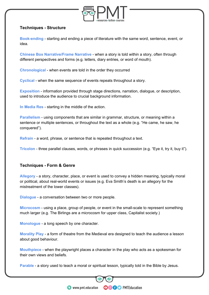

# **Techniques - Structure**

**Book-ending** - starting and ending a piece of literature with the same word, sentence, event, or idea.

**Chinese Box Narrative/Frame Narrative** - when a story is told within a story, often through different perspectives and forms (e.g. letters, diary entries, or word of mouth).

**Chronological** - when events are told in the order they occurred

**Cyclical** - when the same sequence of events repeats throughout a story.

**Exposition** - information provided through stage directions, narration, dialogue, or description, used to introduce the audience to crucial background information.

**In Media Res** - starting in the middle of the action.

**Parallelism** - using components that are similar in grammar, structure, or meaning within a sentence or multiple sentences, or throughout the text as a whole (e.g. "He came, he saw, he conquered").

**Refrain** - a word, phrase, or sentence that is repeated throughout a text.

**Tricolon** - three parallel clauses, words, or phrases in quick succession (e.g. "Eye it, try it, buy it").

# **Techniques - Form & Genre**

**Allegory** - a story, character, place, or event is used to convey a hidden meaning, typically moral or political, about real-world events or issues (e.g. Eva Smith's death is an allegory for the mistreatment of the lower classes).

**Dialogue** - a conversation between two or more people.

**Microcosm** - using a place, group of people, or event in the small-scale to represent something much larger (e.g. The Birlings are a microcosm for upper class, Capitalist society.)

**Monologue** - a long speech by one character.

**Morality Play** - a form of theatre from the Medieval era designed to teach the audience a lesson about good behaviour.

**Mouthpiece** - when the playwright places a character in the play who acts as a spokesman for their own views and beliefs.

**Parable** - a story used to teach a moral or spiritual lesson, typically told in the Bible by Jesus.

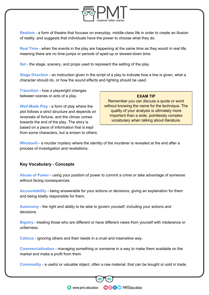

**Realism** - a form of theatre that focuses on everyday, middle-class life in order to create an illusion of reality, and suggests that individuals have the power to choose what they do.

**Real Time** - when the events in the play are happening at the same time as they would in real life, meaning there are no time jumps or periods of sped-up or slowed-down time.

**Set** - the stage, scenery, and props used to represent the setting of the play.

**Stage Direction** - an instruction given in the script of a play to indicate how a line is given, what a character should do, or how the sound effects and lighting should be used.

**Transition** - how a playwright changes between scenes or acts of a play.

**Well-Made Play** - a form of play where the plot follows a strict structure and depends on reversals of fortune, and the climax comes towards the end of the play. The story is based on a piece of information that is kept from some characters, but is known to others.

#### **EXAM TIP**

Remember you can discuss a quote or word without knowing the name for the technique. The quality of your analysis is ultimately more important than a wide, pointlessly complex vocabulary when talking about literature.

**Whodunit** - a murder mystery where the identity of the murderer is revealed at the end after a process of investigation and revelations.

## **Key Vocabulary - Concepts**

**Abuse of Power** - using your position of power to commit a crime or take advantage of someone without facing consequences.

**Accountability** - being answerable for your actions or decisions, giving an explanation for them and being totally responsible for them.

**Autonomy** - the right and ability to be able to govern yourself, including your actions and decisions.

**Bigotry** - treating those who are different or have different views from yourself with intolerance or unfairness.

**Callous** - ignoring others and their needs in a cruel and insensitive way.

**Commercialisation** - managing something or someone in a way to make them available on the market and make a profit from them.

**Commodity** - a useful or valuable object, often a raw material, that can be bought or sold in trade.

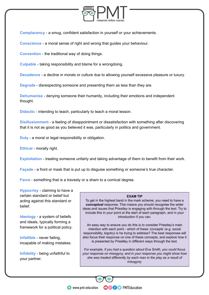

**Complacency** - a smug, confident satisfaction in yourself or your achievements.

**Conscience** - a moral sense of right and wrong that guides your behaviour.

**Convention** - the traditional way of doing things.

**Culpable** - taking responsibility and blame for a wrongdoing.

**Decadence** - a decline in morals or culture due to allowing yourself excessive pleasure or luxury.

**Degrade** - disrespecting someone and presenting them as less than they are.

**Dehumanise** - denying someone their humanity, including their emotions and independent thought.

**Didactic** - intending to teach, particularly to teach a moral lesson.

**Disillusionment** - a feeling of disappointment or dissatisfaction with something after discovering that it is not as good as you believed it was, particularly in politics and government.

**Duty** - a moral or legal responsibility or obligation.

**Ethical** - morally right.

**Exploitation** - treating someone unfairly and taking advantage of them to benefit from their work.

**Façade** - a front or mask that is put up to disguise something or someone's true character.

**Farce** - something that is a travesty or a sham to a comical degree.

**Hypocrisy** - claiming to have a certain standard or belief but acting against this standard or belief.

**Ideology** - a system of beliefs and ideals, typically forming a framework for a political policy.

**Infallible** - never failing, incapable of making mistakes.

**Infidelity** - being unfaithful to your partner.

#### **EXAM TIP**

To get in the highest band in the mark scheme, you need to have a conceptual response. This means you should recognise the wider ideas and issues that Priestley is engaging with through the text. Try to include this in your point at the start of each paragraph, and in your introduction if you can.

An easy way to ensure you do this is to consider Priestley's main intention with each point - which of these 'concepts' (e.g. social responsibility, bigotry) is he trying to address? The best responses will also focus their response on one of these concepts, and explore how it is presented by Priestley in different ways through the text.

For example, if you had a question about Eva Smith, you could focus your response on misogyny, and in your response you might show how she was treated differently by each man in the play as a result of misogyny.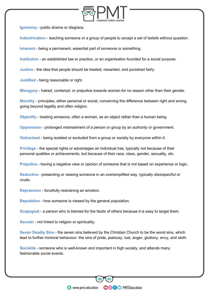

**Ignominy** - public shame or disgrace.

**Indoctrination** - teaching someone or a group of people to accept a set of beliefs without question.

**Inherent** - being a permanent, essential part of someone or something.

**Institution** - an established law or practice, or an organisation founded for a social purpose.

**Justice** - the idea that people should be treated, rewarded, and punished fairly.

**Justified** - being reasonable or right.

**Misogyny** - hatred, contempt, or prejudice towards women for no reason other than their gender.

**Morality** - principles, either personal or social, concerning the difference between right and wrong, going beyond legality and often religion.

**Objectify** - treating someone, often a woman, as an object rather than a human being.

**Oppression** - prolonged mistreatment of a person or group by an authority or government.

**Ostracised** - being isolated or excluded from a group or society by everyone within it.

**Privilege** - the special rights or advantages an individual has, typically not because of their personal qualities or achievements, but because of their race, class, gender, sexuality, etc.

**Prejudice** - having a negative view or opinion of someone that is not based on experience or logic.

**Reductive** - presenting or viewing someone in an oversimplified way, typically disrespectful or crude.

**Repression** - forcefully restraining an emotion.

**Reputation** - how someone is viewed by the general population.

**Scapegoat** - a person who is blamed for the faults of others because it is easy to target them.

**Secular** - not linked to religion or spirituality.

**Seven Deadly Sins** - the seven sins believed by the Christian Church to be the worst sins, which lead to further immoral behaviour: the sins of pride, jealousy, lust, anger, gluttony, envy, and sloth.

**OOOO** PMTEducation

**Socialite** - someone who is well-known and important in high society, and attends many fashionable social events.

**WWW.pmt.education**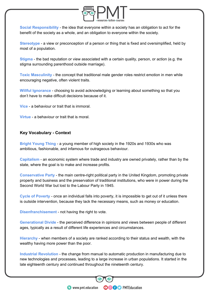

**Social Responsibility** - the idea that everyone within a society has an obligation to act for the benefit of the society as a whole, and an obligation to everyone within the society.

**Stereotype** - a view or preconception of a person or thing that is fixed and oversimplified, held by most of a population.

**Stigma** - the bad reputation or view associated with a certain quality, person, or action (e.g. the stigma surrounding parenthood outside marriage).

**Toxic Masculinity** - the concept that traditional male gender roles restrict emotion in men while encouraging negative, often violent traits.

**Willful Ignorance** - choosing to avoid acknowledging or learning about something so that you don't have to make difficult decisions because of it.

**Vice** - a behaviour or trait that is immoral.

**Virtue** - a behaviour or trait that is moral.

## **Key Vocabulary - Context**

**Bright Young Thing** - a young member of high society in the 1920s and 1930s who was ambitious, fashionable, and infamous for outrageous behaviour.

**Capitalism** - an economic system where trade and industry are owned privately, rather than by the state, where the goal is to make and increase profits.

**Conservative Party** - the main centre-right political party in the United Kingdom, promoting private property and business and the preservation of traditional institutions, who were in power during the Second World War but lost to the Labour Party in 1945.

**Cycle of Poverty** - once an individual falls into poverty, it is impossible to get out of it unless there is outside intervention, because they lack the necessary means, such as money or education.

**Disenfranchisement** - not having the right to vote.

**Generational Divide** - the perceived difference in opinions and views between people of different ages, typically as a result of different life experiences and circumstances.

**Hierarchy** - when members of a society are ranked according to their status and wealth, with the wealthy having more power than the poor.

**Industrial Revolution** - the change from manual to automatic production in manufacturing due to new technologies and processes, leading to a large increase in urban populations. It started in the late eighteenth century and continued throughout the nineteenth century.

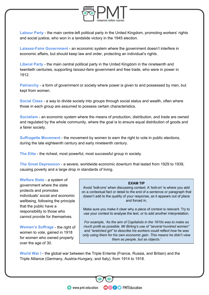

**Labour Party** - the main centre-left political party in the United Kingdom, promoting workers' rights and social justice, who won in a landslide victory in the 1945 election.

**Laissez-Faire Government** - an economic system where the government doesn't interfere in economic affairs, but should keep law and order, protecting an individual's rights.

**Liberal Party** - the main central political party in the United Kingdom in the nineteenth and twentieth centuries, supporting *laissez-faire* government and free trade, who were in power in 1912.

**Patriarchy** - a form of government or society where power is given to and possessed by men, but kept from women.

**Social Class** - a way to divide society into groups through social status and wealth, often where those in each group are assumed to possess certain characteristics.

**Socialism** - an economic system where the means of production, distribution, and trade are owned and regulated by the whole community, where the goal is to ensure equal distribution of goods and a fairer society.

**Suffragette Movement** - the movement by women to earn the right to vote in public elections, during the late eighteenth century and early nineteenth century.

**The Elite** - the richest, most powerful, most successful group in society.

**The Great Depression** - a severe, worldwide economic downturn that lasted from 1929 to 1939, causing poverty and a large drop in standards of living.

**Welfare State** - a system of government where the state protects and promotes individuals' social and economic wellbeing, following the principle that the public have a responsibility to those who cannot provide for themselves.

**Women's Suffrage** - the right of women to vote, gained in 1918 for women who owned property over the age of 30.

#### **EXAM TIP**

Avoid 'bolt-ons' when discussing context. A 'bolt-on' is where you add on a contextual fact or detail to the end of a sentence or paragraph that doesn't add to the quality of your response, as it appears out of place and forced in.

Make sure you make it clear why a piece of context is relevant. Try to use your context to analyse the text, or to add another interpretation.

For example, 'As the aim of Capitalists in the 1910s was to make as much profit as possible, Mr Birling's use of "several hundred women" and "wretched girl" to describe his workers could reflect how he was only using them for his own economic gain. This means he didn't view them as people, but as objects.'

**OOOO** PMTEducation

**World War I** - the global war between the Triple Entente (France, Russia, and Britain) and the Triple Alliance (Germany, Austria-Hungary, and Italy), from 1914 to 1918.

**C** www.pmt.education